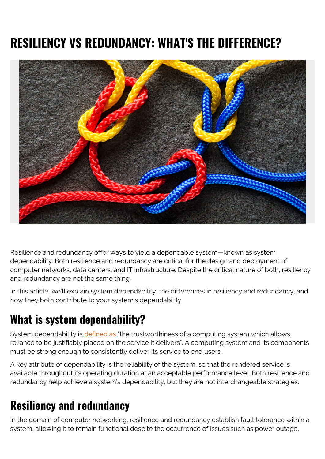# **RESILIENCY VS REDUNDANCY: WHAT'S THE DIFFERENCE?**



Resilience and redundancy offer ways to yield a dependable system—known as system dependability. Both resilience and redundancy are critical for the design and deployment of computer networks, data centers, and IT infrastructure. Despite the critical nature of both, resiliency and redundancy are not the same thing.

In this article, we'll explain system dependability, the differences in resiliency and redundancy, and how they both contribute to your system's dependability.

### **What is system dependability?**

System dependability is [defined as](https://www.dependability.org/wg10.4/) "the trustworthiness of a computing system which allows reliance to be justifiably placed on the service it delivers". A computing system and its components must be strong enough to consistently deliver its service to end users.

A key attribute of dependability is the reliability of the system, so that the rendered service is available throughout its operating duration at an acceptable performance level. Both resilience and redundancy help achieve a system's dependability, but they are not interchangeable strategies.

#### **Resiliency and redundancy**

In the domain of computer networking, resilience and redundancy establish fault tolerance within a system, allowing it to remain functional despite the occurrence of issues such as power outage,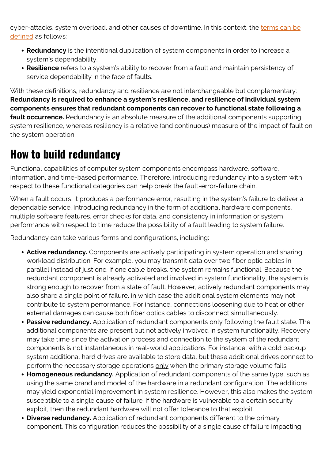cyber-attacks, system overload, and other causes of downtime. In this context, the [terms can be](https://www.nojitter.com/network-redundancy-or-resilience) [defined](https://www.nojitter.com/network-redundancy-or-resilience) as follows:

- **Redundancy** is the intentional duplication of system components in order to increase a system's dependability.
- **Resilience** refers to a system's ability to recover from a fault and maintain persistency of service dependability in the face of faults.

With these definitions, redundancy and resilience are not interchangeable but complementary: **Redundancy is required to enhance a system's resilience, and resilience of individual system components ensures that redundant components can recover to functional state following a fault occurrence.** Redundancy is an absolute measure of the additional components supporting system resilience, whereas resiliency is a relative (and continuous) measure of the impact of fault on the system operation.

## **How to build redundancy**

Functional capabilities of computer system components encompass hardware, software, information, and time-based performance. Therefore, introducing redundancy into a system with respect to these functional categories can help break the fault-error-failure chain.

When a fault occurs, it produces a performance error, resulting in the system's failure to deliver a dependable service. Introducing redundancy in the form of additional hardware components, multiple software features, error checks for data, and consistency in information or system performance with respect to time reduce the possibility of a fault leading to system failure.

Redundancy can take various forms and configurations, including:

- **Active redundancy.** Components are actively participating in system operation and sharing workload distribution. For example, you may transmit data over two fiber optic cables in parallel instead of just one. If one cable breaks, the system remains functional. Because the redundant component is already activated and involved in system functionality, the system is strong enough to recover from a state of fault. However, actively redundant components may also share a single point of failure, in which case the additional system elements may not contribute to system performance. For instance, connections loosening due to heat or other external damages can cause both fiber optics cables to disconnect simultaneously.
- **Passive redundancy.** Application of redundant components only following the fault state. The additional components are present but not actively involved in system functionality. Recovery may take time since the activation process and connection to the system of the redundant components is not instantaneous in real-world applications. For instance, with a cold backup system additional hard drives are available to store data, but these additional drives connect to perform the necessary storage operations only when the primary storage volume fails.
- **Homogeneous redundancy.** Application of redundant components of the same type, such as using the same brand and model of the hardware in a redundant configuration. The additions may yield exponential improvement in system resilience. However, this also makes the system susceptible to a single cause of failure. If the hardware is vulnerable to a certain security exploit, then the redundant hardware will not offer tolerance to that exploit.
- **Diverse redundancy.** Application of redundant components different to the primary component. This configuration reduces the possibility of a single cause of failure impacting